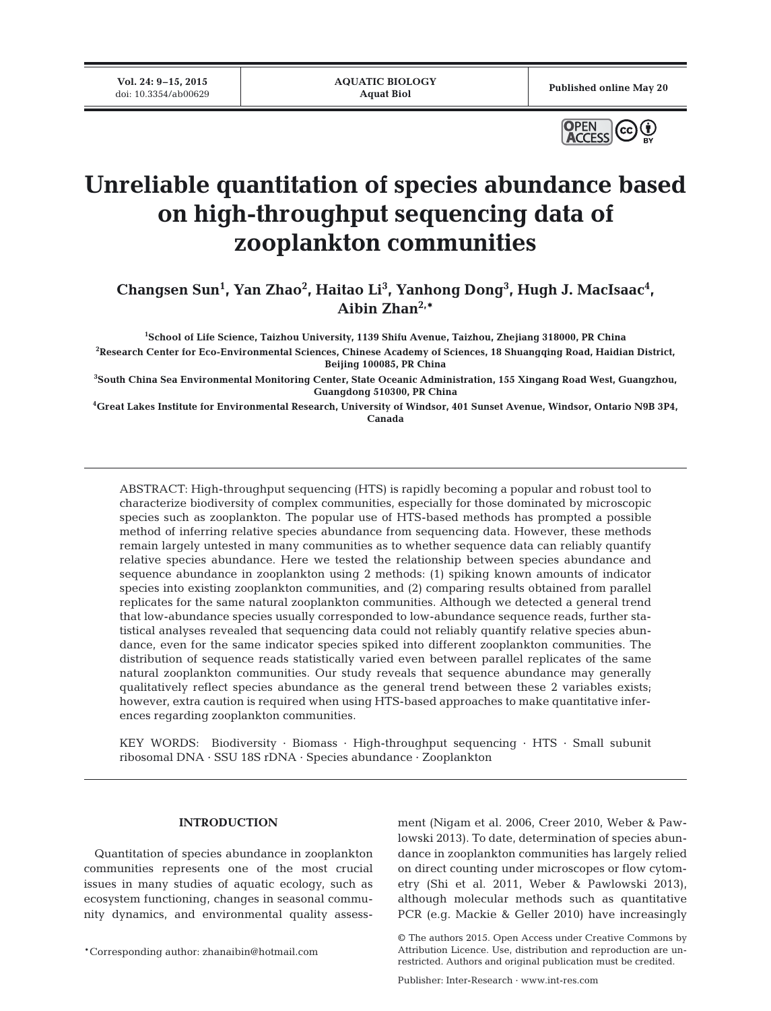**Vol. 24: 9–15, 2015**<br>doi: 10.3354/ab00629

Published online May 20



# **Unreliable quantitation of species abundance based on high-throughput sequencing data of zooplankton communities**

Changsen Sun<sup>1</sup>, Yan Zhao<sup>2</sup>, Haitao Li<sup>3</sup>, Yanhong Dong<sup>3</sup>, Hugh J. MacIsaac<sup>4</sup>, **Aibin Zhan2,\***

**1 School of Life Science, Taizhou University, 1139 Shifu Avenue, Taizhou, Zhejiang 318000, PR China**

**2 Research Center for Eco-Environmental Sciences, Chinese Academy of Sciences, 18 Shuangqing Road, Haidian District, Beijing 100085, PR China**

**3 South China Sea Environmental Monitoring Center, State Oceanic Administration, 155 Xingang Road West, Guangzhou, Guangdong 510300, PR China**

**4 Great Lakes Institute for Environmental Research, University of Windsor, 401 Sunset Avenue, Windsor, Ontario N9B 3P4, Canada**

ABSTRACT: High-throughput sequencing (HTS) is rapidly becoming a popular and robust tool to characterize biodiversity of complex communities, especially for those dominated by microscopic species such as zooplankton. The popular use of HTS-based methods has prompted a possible method of inferring relative species abundance from sequencing data. However, these methods remain largely untested in many communities as to whether sequence data can reliably quantify relative species abundance. Here we tested the relationship between species abundance and sequence abundance in zooplankton using 2 methods: (1) spiking known amounts of indicator species into existing zooplankton communities, and (2) comparing results obtained from parallel replicates for the same natural zooplankton communities. Although we detected a general trend that low-abundance species usually corresponded to low-abundance sequence reads, further statistical analyses revealed that sequencing data could not reliably quantify relative species abundance, even for the same indicator species spiked into different zooplankton communities. The distribution of sequence reads statistically varied even between parallel replicates of the same natural zooplankton communities. Our study reveals that sequence abundance may generally qualitatively reflect species abundance as the general trend between these 2 variables exists; however, extra caution is required when using HTS-based approaches to make quantitative inferences regarding zooplankton communities.

KEY WORDS: Biodiversity · Biomass · High-throughput sequencing · HTS · Small subunit ribosomal DNA · SSU 18S rDNA · Species abundance · Zooplankton

#### **INTRODUCTION**

Quantitation of species abundance in zooplankton communities represents one of the most crucial issues in many studies of aquatic ecology, such as ecosystem functioning, changes in seasonal community dynamics, and environmental quality assess-

\*Corresponding author: zhanaibin@hotmail.com

ment (Nigam et al. 2006, Creer 2010, Weber & Pawlowski 2013). To date, determination of species abundance in zooplankton communities has largely relied on direct counting under microscopes or flow cytometry (Shi et al. 2011, Weber & Pawlowski 2013), although molecular methods such as quantitative PCR (e.g. Mackie & Geller 2010) have increasingly

Publisher: Inter-Research · www.int-res.com

<sup>©</sup> The authors 2015. Open Access under Creative Commons by Attribution Licence. Use, distribution and reproduction are unrestricted. Authors and original publication must be credited.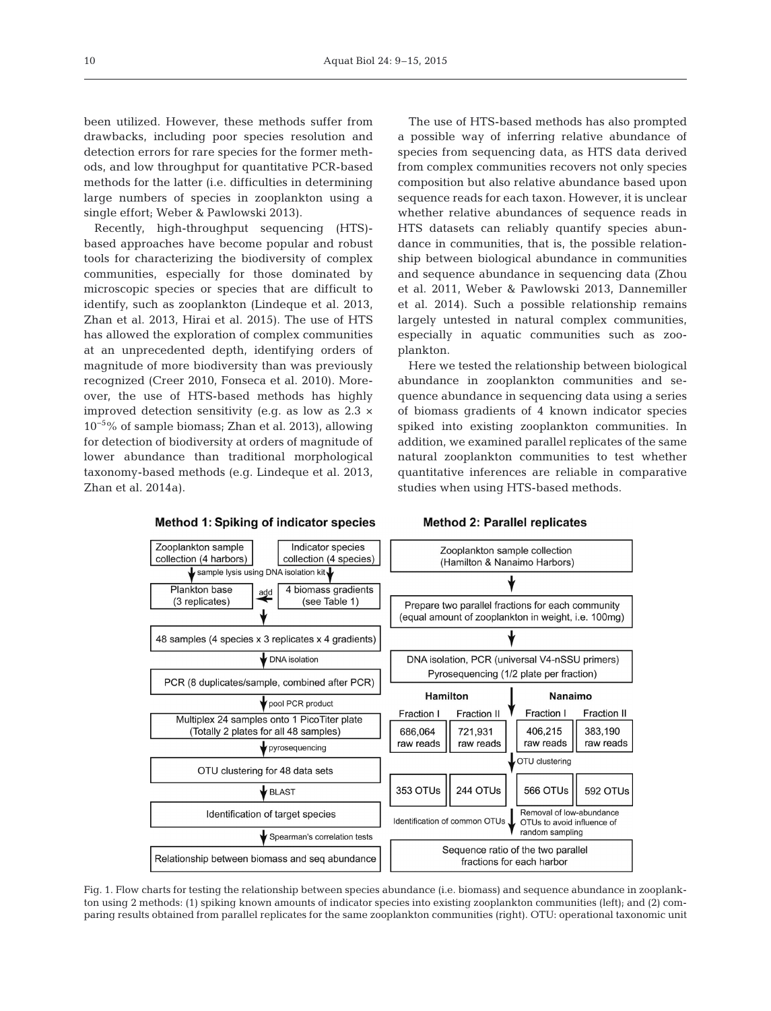been utilized. However, these methods suffer from drawbacks, including poor species resolution and detection errors for rare species for the former methods, and low throughput for quantitative PCR-based methods for the latter (i.e. difficulties in determining large numbers of species in zooplankton using a single effort; Weber & Pawlowski 2013).

Recently, high-throughput sequencing (HTS) based approaches have become popular and robust tools for characterizing the biodiversity of complex communities, especially for those dominated by microscopic species or species that are difficult to identify, such as zooplankton (Lindeque et al. 2013, Zhan et al. 2013, Hirai et al. 2015). The use of HTS has allowed the exploration of complex communities at an unprecedented depth, identifying orders of magnitude of more biodiversity than was previously recognized (Creer 2010, Fonseca et al. 2010). Moreover, the use of HTS-based methods has highly improved detection sensitivity (e.g. as low as  $2.3 \times$ 10−5% of sample biomass; Zhan et al. 2013), allowing for detection of biodiversity at orders of magnitude of lower abundance than traditional morphological taxonomy-based methods (e.g. Lindeque et al. 2013, Zhan et al. 2014a).

The use of HTS-based methods has also prompted a possible way of inferring relative abundance of species from sequencing data, as HTS data derived from complex communities recovers not only species composition but also relative abundance based upon sequence reads for each taxon. However, it is unclear whether relative abundances of sequence reads in HTS datasets can reliably quantify species abundance in communities, that is, the possible relationship between biological abundance in communities and sequence abundance in sequencing data (Zhou et al. 2011, Weber & Pawlowski 2013, Dannemiller et al. 2014). Such a possible relationship remains largely untested in natural complex communities, especially in aquatic communities such as zooplankton.

Here we tested the relationship between biological abundance in zooplankton communities and sequence abundance in sequencing data using a series of biomass gradients of 4 known indicator species spiked into existing zooplankton communities. In addition, we examined parallel replicates of the same natural zooplankton communities to test whether quantitative inferences are reliable in comparative studies when using HTS-based methods.



**Method 2: Parallel replicates** 

Fig. 1. Flow charts for testing the relationship between species abundance (i.e. biomass) and sequence abundance in zooplankton using 2 methods: (1) spiking known amounts of indicator species into existing zooplankton communities (left); and (2) comparing results obtained from parallel replicates for the same zooplankton communities (right). OTU: operational taxonomic unit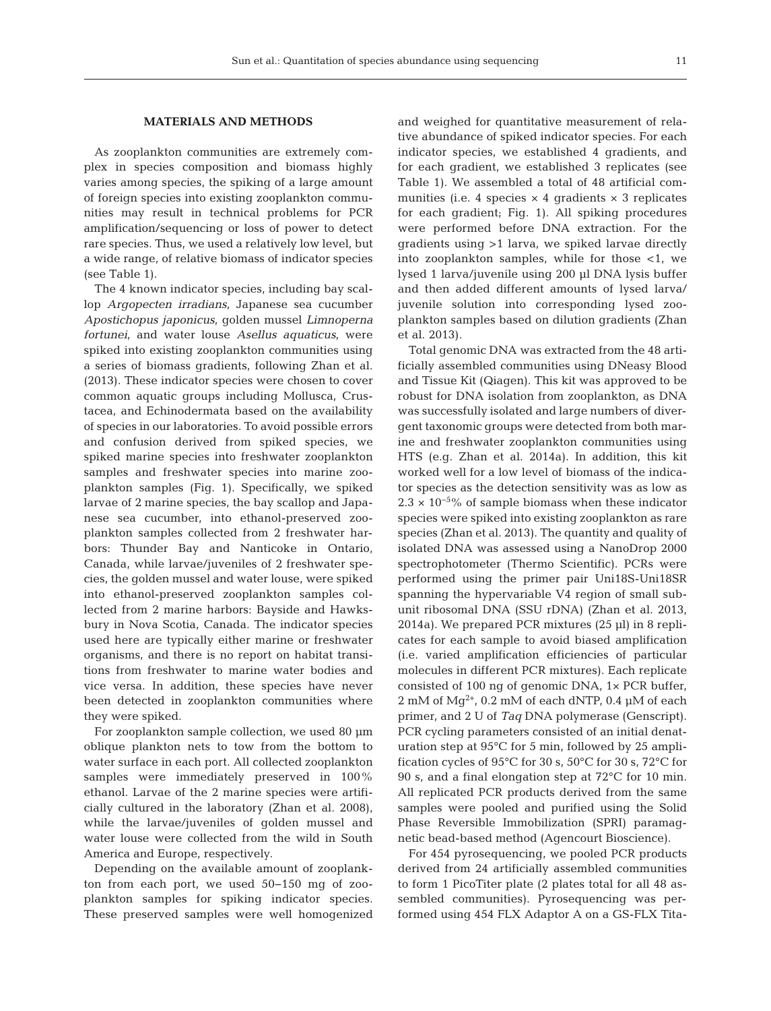### **MATERIALS AND METHODS**

As zooplankton communities are extremely complex in species composition and biomass highly varies among species, the spiking of a large amount of foreign species into existing zooplankton communities may result in technical problems for PCR amplification/sequencing or loss of power to detect rare species. Thus, we used a relatively low level, but a wide range, of relative biomass of indicator species (see Table 1).

The 4 known indicator species, including bay scallop *Argopecten irradians*, Japanese sea cucumber *Apostichopus japonicus*, golden mussel *Limnoperna fortunei*, and water louse *Asellus aquaticus*, were spiked into existing zooplankton communities using a series of biomass gradients, following Zhan et al. (2013). These indicator species were chosen to cover common aquatic groups including Mollusca, Crustacea, and Echinodermata based on the availability of species in our laboratories. To avoid possible errors and confusion derived from spiked species, we spiked marine species into freshwater zooplankton samples and freshwater species into marine zooplankton samples (Fig. 1). Specifically, we spiked larvae of 2 marine species, the bay scallop and Japa nese sea cucumber, into ethanol-preserved zooplankton samples collected from 2 freshwater harbors: Thunder Bay and Nanticoke in Ontario, Canada, while larvae/juveniles of 2 freshwater species, the golden mussel and water louse, were spiked into ethanol-preserved zooplankton samples collected from 2 marine harbors: Bayside and Hawksbury in Nova Scotia, Canada. The indicator species used here are typically either marine or freshwater organisms, and there is no report on habitat transitions from freshwater to marine water bodies and vice versa. In addition, these species have never been detected in zooplankton communities where they were spiked.

For zooplankton sample collection, we used 80 µm oblique plankton nets to tow from the bottom to water surface in each port. All collected zooplankton samples were immediately preserved in 100% ethanol. Larvae of the 2 marine species were artificially cultured in the laboratory (Zhan et al. 2008), while the larvae/juveniles of golden mussel and water louse were collected from the wild in South America and Europe, respectively.

Depending on the available amount of zooplankton from each port, we used 50−150 mg of zooplankton samples for spiking indicator species. These preserved samples were well homogenized and weighed for quantitative measurement of relative abundance of spiked indicator species. For each indicator species, we established 4 gradients, and for each gradient, we established 3 replicates (see Table 1). We assembled a total of 48 artificial communities (i.e. 4 species  $\times$  4 gradients  $\times$  3 replicates for each gradient; Fig. 1). All spiking procedures were performed before DNA extraction. For the gradients using >1 larva, we spiked larvae directly into zooplankton samples, while for those <1, we lysed 1 larva/juvenile using 200 µl DNA lysis buffer and then added different amounts of lysed larva/ juvenile solution into corresponding lysed zooplankton samples based on dilution gradients (Zhan et al. 2013).

Total genomic DNA was extracted from the 48 artificially assembled communities using DNeasy Blood and Tissue Kit (Qiagen). This kit was approved to be robust for DNA isolation from zooplankton, as DNA was successfully isolated and large numbers of divergent taxonomic groups were detected from both marine and freshwater zooplankton communities using HTS (e.g. Zhan et al. 2014a). In addition, this kit worked well for a low level of biomass of the indicator species as the detection sensitivity was as low as  $2.3 \times 10^{-5}$ % of sample biomass when these indicator species were spiked into existing zooplankton as rare species (Zhan et al. 2013). The quantity and quality of isolated DNA was assessed using a NanoDrop 2000 spectrophotometer (Thermo Scientific). PCRs were performed using the primer pair Uni18S-Uni18SR spanning the hypervariable V4 region of small subunit ribosomal DNA (SSU rDNA) (Zhan et al. 2013, 2014a). We prepared PCR mixtures (25 µl) in 8 replicates for each sample to avoid biased amplification (i.e. varied amplification efficiencies of particular molecules in different PCR mixtures). Each replicate consisted of 100 ng of genomic DNA, 1× PCR buffer, 2 mM of  $Mg^{2+}$ , 0.2 mM of each dNTP, 0.4 µM of each primer, and 2 U of *Taq* DNA polymerase (Genscript). PCR cycling parameters consisted of an initial denaturation step at 95°C for 5 min, followed by 25 amplification cycles of 95°C for 30 s, 50°C for 30 s, 72°C for 90 s, and a final elongation step at 72°C for 10 min. All replicated PCR products derived from the same samples were pooled and purified using the Solid Phase Reversible Immobilization (SPRI) paramagnetic bead-based method (Agencourt Bioscience).

For 454 pyrosequencing, we pooled PCR products derived from 24 artificially assembled communities to form 1 PicoTiter plate (2 plates total for all 48 as sembled communities). Pyrosequencing was performed using 454 FLX Adaptor A on a GS-FLX Tita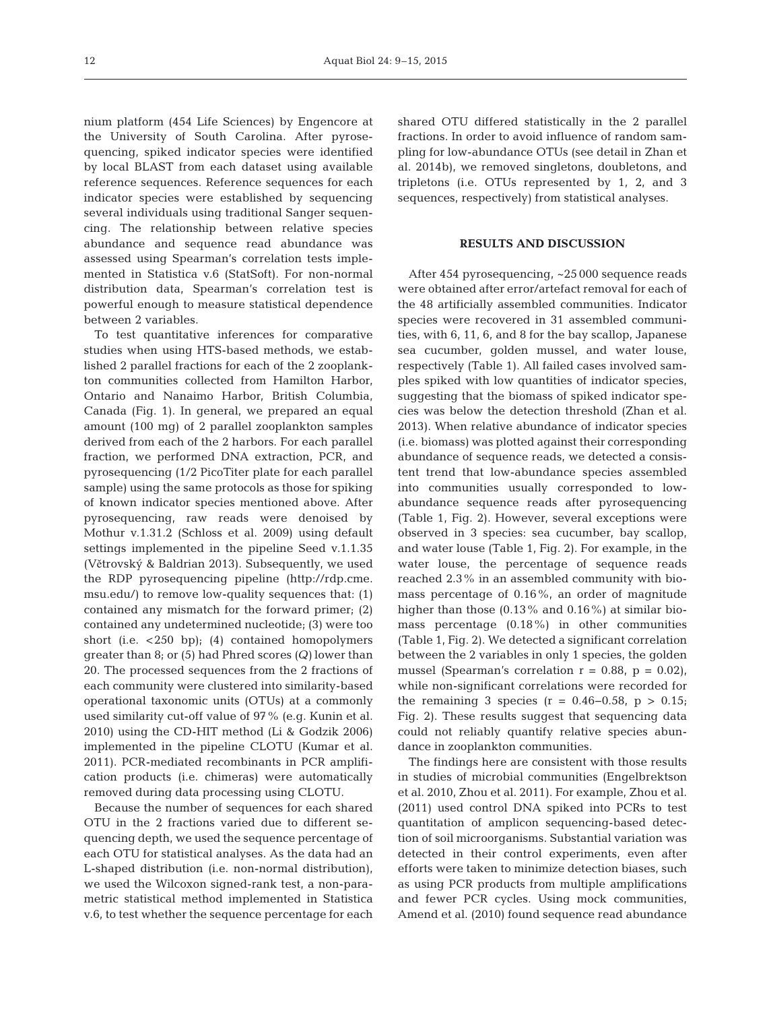nium platform (454 Life Sciences) by Engencore at the University of South Carolina. After pyrosequencing, spiked indicator species were identified by local BLAST from each dataset using available reference sequences. Reference sequences for each indicator species were established by sequencing several individuals using traditional Sanger sequencing. The relationship between relative species abundance and sequence read abundance was assessed using Spearman's correlation tests implemented in Statistica v.6 (StatSoft). For non-normal distribution data, Spearman's correlation test is powerful enough to measure statistical dependence between 2 variables.

To test quantitative inferences for comparative studies when using HTS-based methods, we established 2 parallel fractions for each of the 2 zooplankton communities collected from Hamilton Harbor, Ontario and Nanaimo Harbor, British Columbia, Canada (Fig. 1). In general, we prepared an equal amount (100 mg) of 2 parallel zooplankton samples derived from each of the 2 harbors. For each parallel fraction, we performed DNA extraction, PCR, and pyrosequencing (1/2 PicoTiter plate for each parallel sample) using the same protocols as those for spiking of known indicator species mentioned above. After pyrosequencing, raw reads were denoised by Mothur v.1.31.2 (Schloss et al. 2009) using default settings implemented in the pipeline Seed v.1.1.35 (Větrovský & Baldrian 2013). Subsequently, we used the RDP pyrosequencing pipeline (http://rdp.cme. msu. edu/) to remove low-quality sequences that: (1) contained any mismatch for the forward primer; (2) contained any undetermined nucleotide; (3) were too short (i.e.  $\langle 250 \text{ bp} \rangle$ ; (4) contained homopolymers greater than 8; or (5) had Phred scores *(Q)* lower than 20. The processed sequences from the 2 fractions of each community were clustered into similarity-based operational taxonomic units (OTUs) at a commonly used similarity cut-off value of 97% (e.g. Kunin et al. 2010) using the CD-HIT method (Li & Godzik 2006) implemented in the pipeline CLOTU (Kumar et al. 2011). PCR-mediated recombinants in PCR amplification products (i.e. chimeras) were automatically removed during data processing using CLOTU.

Because the number of sequences for each shared OTU in the 2 fractions varied due to different se quencing depth, we used the sequence percentage of each OTU for statistical analyses. As the data had an L-shaped distribution (i.e. non-normal distribution), we used the Wilcoxon signed-rank test, a non-parametric statistical method implemented in Statistica v.6, to test whether the sequence percentage for each

shared OTU differed statistically in the 2 parallel fractions. In order to avoid influence of random sampling for low-abundance OTUs (see detail in Zhan et al. 2014b), we removed singletons, doubletons, and tripletons (i.e. OTUs represented by 1, 2, and 3 sequences, respectively) from statistical analyses.

## **RESULTS AND DISCUSSION**

After 454 pyrosequencing, ~25 000 sequence reads were obtained after error/artefact removal for each of the 48 artificially assembled communities. Indicator species were recovered in 31 assembled communities, with 6, 11, 6, and 8 for the bay scallop, Japanese sea cucumber, golden mussel, and water louse, respectively (Table 1). All failed cases involved samples spiked with low quantities of indicator species, suggesting that the biomass of spiked indicator species was below the detection threshold (Zhan et al. 2013). When relative abundance of indicator species (i.e. biomass) was plotted against their corresponding abundance of sequence reads, we detected a consistent trend that low-abundance species assembled into communities usually corresponded to lowabundance sequence reads after pyrosequencing (Table 1, Fig. 2). However, several exceptions were ob served in 3 species: sea cucumber, bay scallop, and water louse (Table 1, Fig. 2). For example, in the water louse, the percentage of sequence reads reached 2.3% in an assembled community with biomass percentage of 0.16%, an order of magnitude higher than those (0.13% and 0.16%) at similar biomass percentage (0.18%) in other communities (Table 1, Fig. 2). We detected a significant correlation be tween the 2 variables in only 1 species, the golden mussel (Spearman's correlation  $r = 0.88$ ,  $p = 0.02$ ), while non-significant correlations were recorded for the remaining 3 species ( $r = 0.46 - 0.58$ ,  $p > 0.15$ ; Fig. 2). These results suggest that sequencing data could not reliably quantify relative species abundance in zooplankton communities.

The findings here are consistent with those results in studies of microbial communities (Engelbrektson et al. 2010, Zhou et al. 2011). For example, Zhou et al. (2011) used control DNA spiked into PCRs to test quantitation of amplicon sequencing-based detection of soil microorganisms. Substantial variation was detected in their control experiments, even after efforts were taken to minimize detection biases, such as using PCR products from multiple amplifications and fewer PCR cycles. Using mock communities, Amend et al. (2010) found sequence read abundance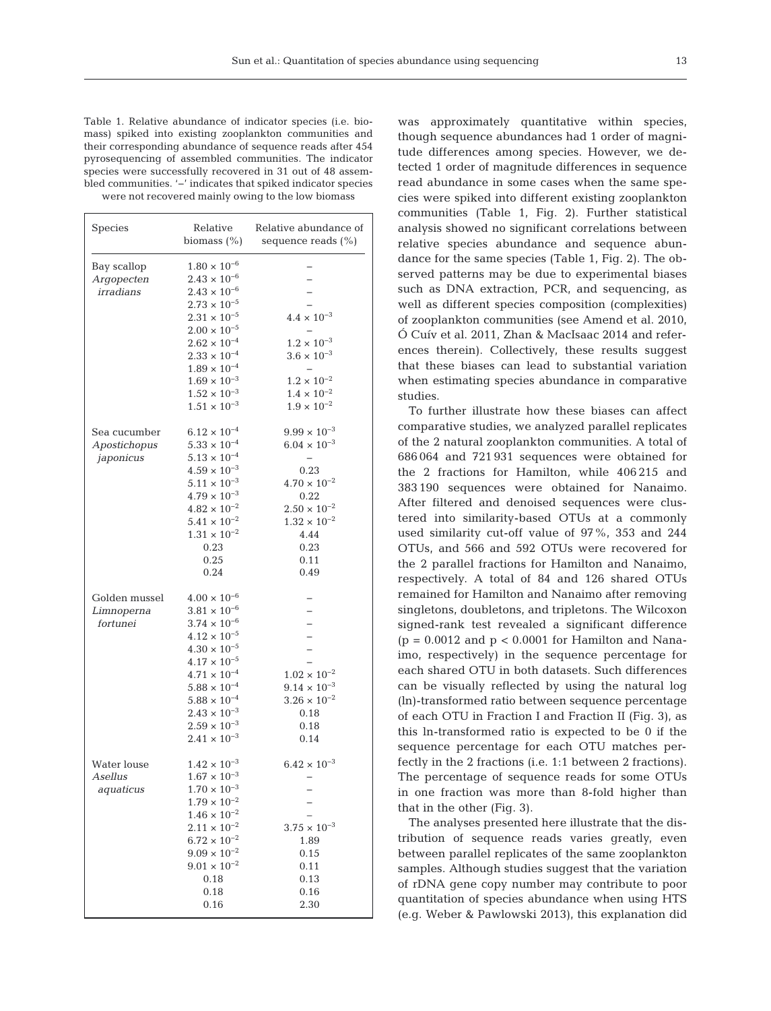Table 1. Relative abundance of indicator species (i.e. biomass) spiked into existing zooplankton communities and their corresponding abundance of sequence reads after 454 pyrosequencing of assembled communities. The indicator species were successfully recovered in 31 out of 48 assembled communities. '−' indicates that spiked indicator species were not recovered mainly owing to the low biomass

| Species       | Relative<br>biomass $(\% )$ | Relative abundance of<br>sequence reads $(\% )$ |
|---------------|-----------------------------|-------------------------------------------------|
| Bay scallop   | $1.80 \times 10^{-6}$       |                                                 |
| Argopecten    | $2.43 \times 10^{-6}$       |                                                 |
| irradians     | $2.43 \times 10^{-6}$       |                                                 |
|               | $2.73 \times 10^{-5}$       |                                                 |
|               | $2.31 \times 10^{-5}$       | $4.4 \times 10^{-3}$                            |
|               | $2.00 \times 10^{-5}$       |                                                 |
|               | $2.62 \times 10^{-4}$       | $1.2 \times 10^{-3}$                            |
|               | $2.33 \times 10^{-4}$       | $3.6 \times 10^{-3}$                            |
|               | $1.89 \times 10^{-4}$       |                                                 |
|               | $1.69 \times 10^{-3}$       | $1.2 \times 10^{-2}$                            |
|               | $1.52 \times 10^{-3}$       | $1.4 \times 10^{-2}$                            |
|               | $1.51 \times 10^{-3}$       | $1.9 \times 10^{-2}$                            |
| Sea cucumber  | $6.12 \times 10^{-4}$       | $9.99 \times 10^{-3}$                           |
| Apostichopus  | $5.33 \times 10^{-4}$       | $6.04 \times 10^{-3}$                           |
| japonicus     | $5.13 \times 10^{-4}$       | $\overline{\phantom{0}}$                        |
|               | $4.59\times10^{-3}$         | 0.23                                            |
|               | $5.11 \times 10^{-3}$       | $4.70 \times 10^{-2}$                           |
|               | $4.79 \times 10^{-3}$       | 0.22                                            |
|               | $4.82 \times 10^{-2}$       | $2.50 \times 10^{-2}$                           |
|               | $5.41 \times 10^{-2}$       | $1.32 \times 10^{-2}$                           |
|               | $1.31 \times 10^{-2}$       | 4.44                                            |
|               | 0.23                        | 0.23                                            |
|               | 0.25                        | 0.11                                            |
|               | 0.24                        | 0.49                                            |
| Golden mussel | $4.00 \times 10^{-6}$       |                                                 |
| Limnoperna    | $3.81 \times 10^{-6}$       |                                                 |
| fortunei      | $3.74 \times 10^{-6}$       |                                                 |
|               | $4.12 \times 10^{-5}$       |                                                 |
|               | $4.30 \times 10^{-5}$       |                                                 |
|               | $4.17 \times 10^{-5}$       |                                                 |
|               | $4.71 \times 10^{-4}$       | $1.02\times10^{-2}$                             |
|               | $5.88 \times 10^{-4}$       | $9.14 \times 10^{-3}$                           |
|               | $5.88 \times 10^{-4}$       | $3.26 \times 10^{-2}$                           |
|               | $2.43 \times 10^{-3}$       | 0.18                                            |
|               | $2.59 \times 10^{-3}$       | 0.18                                            |
|               | $2.41 \times 10^{-3}$       | 0.14                                            |
| Water louse   | $1.42 \times 10^{-3}$       | $6.42 \times 10^{-3}$                           |
| Asellus       | $1.67 \times 10^{-3}$       |                                                 |
| aquaticus     | $1.70 \times 10^{-3}$       |                                                 |
|               | $1.79 \times 10^{-2}$       |                                                 |
|               | $1.46 \times 10^{-2}$       |                                                 |
|               | $2.11 \times 10^{-2}$       | $3.75 \times 10^{-3}$                           |
|               | $6.72 \times 10^{-2}$       | 1.89                                            |
|               | $9.09 \times 10^{-2}$       | 0.15                                            |
|               | $9.01 \times 10^{-2}$       | 0.11                                            |
|               | 0.18                        | 0.13                                            |
|               | 0.18                        | 0.16                                            |
|               | 0.16                        | 2.30                                            |

was approximately quantitative within species, though sequence abundances had 1 order of magnitude differences among species. However, we detected 1 order of magnitude differences in sequence read abundance in some cases when the same species were spiked into different existing zooplankton communities (Table 1, Fig. 2). Further statistical analysis showed no significant correlations between relative species abundance and sequence abundance for the same species (Table 1, Fig. 2). The ob served patterns may be due to experimental biases such as DNA extraction, PCR, and sequencing, as well as different species composition (complexities) of zooplankton communities (see Amend et al. 2010, Ó Cuív et al. 2011, Zhan & MacIsaac 2014 and references therein). Collectively, these results suggest that these biases can lead to substantial variation when estimating species abundance in comparative studies.

To further illustrate how these biases can affect comparative studies, we analyzed parallel replicates of the 2 natural zooplankton communities. A total of 686 064 and 721 931 sequences were obtained for the 2 fractions for Hamilton, while 406 215 and 383 190 sequences were obtained for Nanaimo. After filtered and denoised sequences were clustered into similarity- based OTUs at a commonly used similarity cut-off value of 97%, 353 and 244 OTUs, and 566 and 592 OTUs were recovered for the 2 parallel fractions for Hamilton and Nanaimo, respectively. A total of 84 and 126 shared OTUs remained for Hamilton and Nanaimo after removing singletons, doubletons, and tripletons. The Wilcoxon signed-rank test revealed a significant difference  $(p = 0.0012$  and  $p < 0.0001$  for Hamilton and Nanaimo, respectively) in the sequence percentage for each shared OTU in both datasets. Such differences can be visually reflected by using the natural log (ln)-transformed ratio between sequence percentage of each OTU in Fraction I and Fraction II (Fig. 3), as this ln-transformed ratio is expected to be 0 if the sequence percentage for each OTU matches perfectly in the 2 fractions (i.e. 1:1 between 2 fractions). The percentage of sequence reads for some OTUs in one fraction was more than 8-fold higher than that in the other (Fig. 3).

The analyses presented here illustrate that the distribution of sequence reads varies greatly, even between parallel replicates of the same zooplankton samples. Although studies suggest that the variation of rDNA gene copy number may contribute to poor quantitation of species abundance when using HTS (e.g. Weber & Pawlowski 2013), this explanation did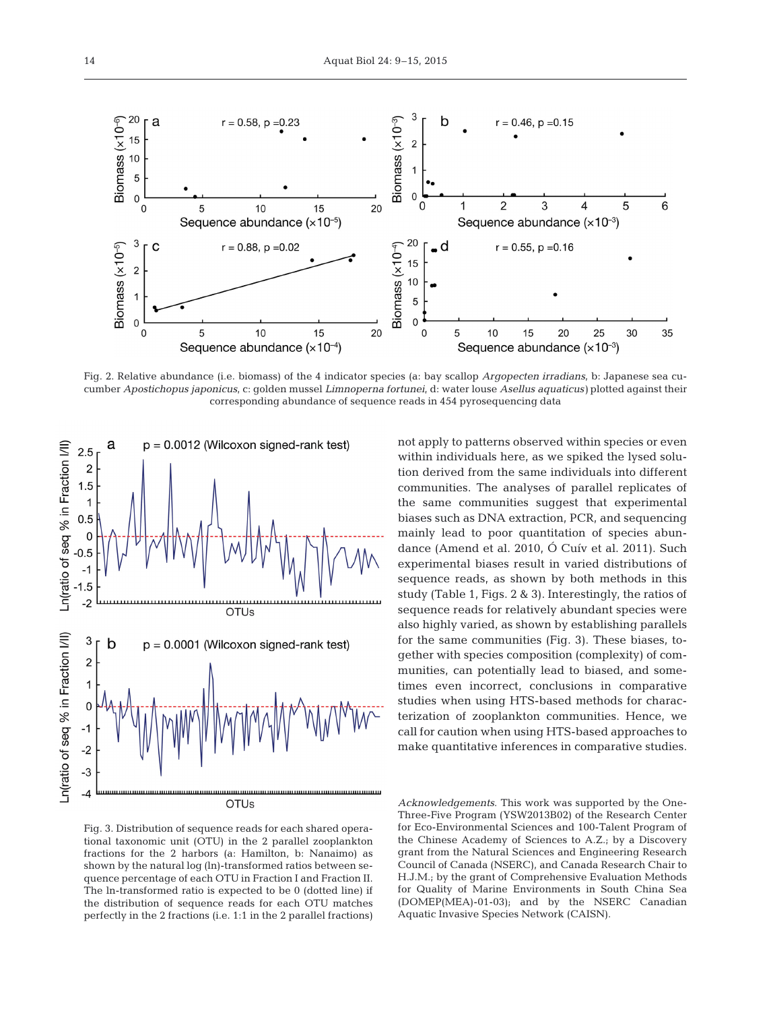

Fig. 2. Relative abundance (i.e. biomass) of the 4 indicator species (a: bay scallop *Argopecten irradians*, b: Japanese sea cucumber *Apostichopus japonicus*, c: golden mussel *Limnoperna fortunei*, d: water louse *Asellus aquaticus)* plotted against their corresponding abundance of sequence reads in 454 pyrosequencing data



OTUs

not apply to patterns observed within species or even within individuals here, as we spiked the lysed solution derived from the same individuals into different communities. The analyses of parallel replicates of the same communities suggest that experimental biases such as DNA extraction, PCR, and sequencing mainly lead to poor quantitation of species abundance (Amend et al. 2010, Ó Cuív et al. 2011). Such experimental biases result in varied distributions of sequence reads, as shown by both methods in this study (Table 1, Figs. 2 & 3). Interestingly, the ratios of sequence reads for relatively abundant species were also highly varied, as shown by establishing parallels for the same communities (Fig. 3). These biases, to gether with species composition (complexity) of communities, can potentially lead to biased, and sometimes even incorrect, conclusions in comparative studies when using HTS-based methods for characterization of zooplankton communities. Hence, we call for caution when using HTS-based approaches to make quantitative inferences in comparative studies.

Fig. 3. Distribution of sequence reads for each shared operational taxonomic unit (OTU) in the 2 parallel zooplankton fractions for the 2 harbors (a: Hamilton, b: Nanaimo) as shown by the natural log (ln)-transformed ratios between sequence percentage of each OTU in Fraction I and Fraction II. The ln-transformed ratio is expected to be 0 (dotted line) if the distribution of sequence reads for each OTU matches perfectly in the 2 fractions (i.e. 1:1 in the 2 parallel fractions)

*Acknowledgements*. This work was supported by the One-Three-Five Program (YSW2013B02) of the Research Center for Eco-Environmental Sciences and 100-Talent Program of the Chinese Academy of Sciences to A.Z.; by a Discovery grant from the Natural Sciences and Engineering Research Council of Canada (NSERC), and Canada Research Chair to H.J.M.; by the grant of Comprehensive Evaluation Methods for Quality of Marine Environments in South China Sea (DOMEP(MEA)-01-03); and by the NSERC Canadian Aquatic Invasive Species Network (CAISN).